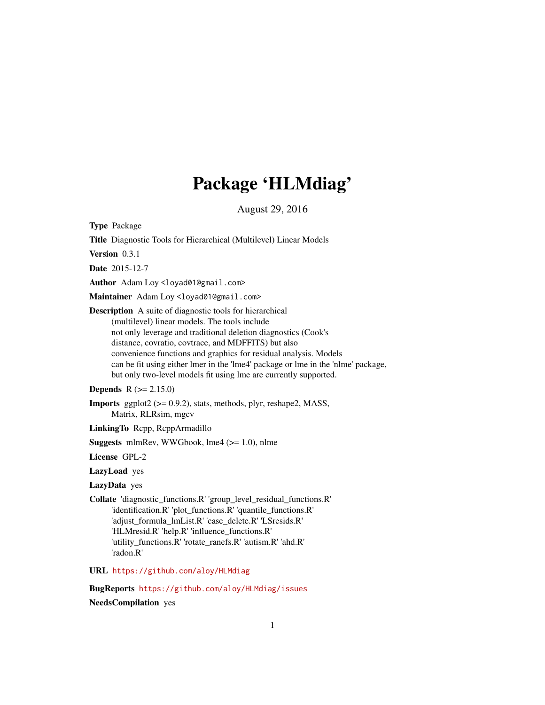## Package 'HLMdiag'

August 29, 2016

<span id="page-0-0"></span>Type Package

Title Diagnostic Tools for Hierarchical (Multilevel) Linear Models

Version 0.3.1

Date 2015-12-7

Author Adam Loy <loyad01@gmail.com>

Maintainer Adam Loy <loyad01@gmail.com>

Description A suite of diagnostic tools for hierarchical (multilevel) linear models. The tools include not only leverage and traditional deletion diagnostics (Cook's distance, covratio, covtrace, and MDFFITS) but also convenience functions and graphics for residual analysis. Models can be fit using either lmer in the 'lme4' package or lme in the 'nlme' package, but only two-level models fit using lme are currently supported.

**Depends**  $R (= 2.15.0)$ 

**Imports** ggplot2 ( $> = 0.9.2$ ), stats, methods, plyr, reshape2, MASS, Matrix, RLRsim, mgcv

LinkingTo Rcpp, RcppArmadillo

Suggests mlmRev, WWGbook, lme4 (>= 1.0), nlme

License GPL-2

LazyLoad yes

LazyData yes

Collate 'diagnostic\_functions.R' 'group\_level\_residual\_functions.R' 'identification.R' 'plot\_functions.R' 'quantile\_functions.R' 'adjust\_formula\_lmList.R' 'case\_delete.R' 'LSresids.R' 'HLMresid.R' 'help.R' 'influence\_functions.R' 'utility\_functions.R' 'rotate\_ranefs.R' 'autism.R' 'ahd.R' 'radon.R'

URL <https://github.com/aloy/HLMdiag>

BugReports <https://github.com/aloy/HLMdiag/issues>

NeedsCompilation yes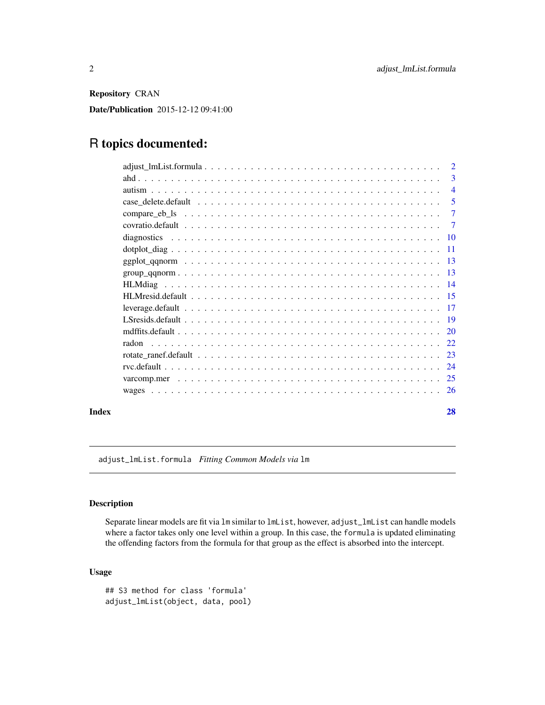<span id="page-1-0"></span>Repository CRAN

Date/Publication 2015-12-12 09:41:00

## R topics documented:

|       |       | $\overline{3}$ |
|-------|-------|----------------|
|       |       | $\overline{4}$ |
|       |       | $\overline{5}$ |
|       |       |                |
|       |       |                |
|       |       |                |
|       |       |                |
|       |       |                |
|       |       |                |
|       |       |                |
|       |       |                |
|       |       |                |
|       |       |                |
|       |       |                |
|       | radon |                |
|       |       |                |
|       |       |                |
|       |       |                |
|       |       |                |
| Index |       | 28             |

adjust\_lmList.formula *Fitting Common Models via* lm

## Description

Separate linear models are fit via lm similar to lmList, however, adjust\_lmList can handle models where a factor takes only one level within a group. In this case, the formula is updated eliminating the offending factors from the formula for that group as the effect is absorbed into the intercept.

## Usage

```
## S3 method for class 'formula'
adjust_lmList(object, data, pool)
```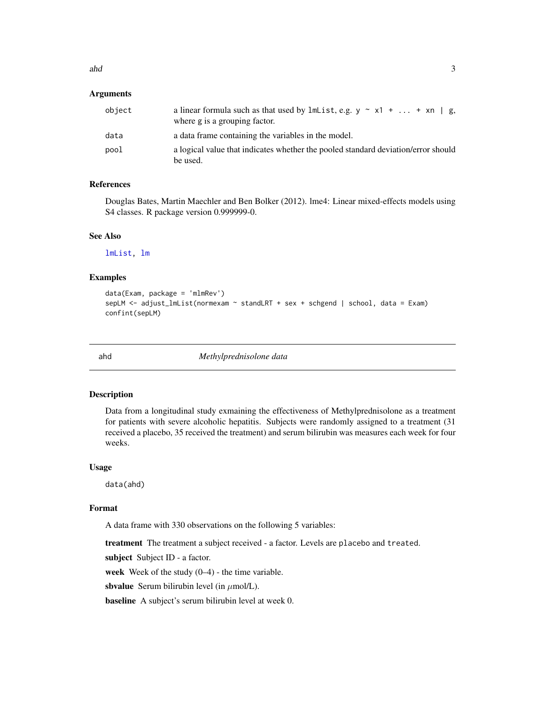<span id="page-2-0"></span> $ab$  3

## **Arguments**

| object | a linear formula such as that used by $lmList, e.g. y \sim x1 +  + xn \mid g$ ,<br>where g is a grouping factor. |
|--------|------------------------------------------------------------------------------------------------------------------|
| data   | a data frame containing the variables in the model.                                                              |
| pool   | a logical value that indicates whether the pooled standard deviation/error should<br>be used.                    |

#### References

Douglas Bates, Martin Maechler and Ben Bolker (2012). lme4: Linear mixed-effects models using S4 classes. R package version 0.999999-0.

## See Also

[lmList,](#page-0-0) [lm](#page-0-0)

## Examples

```
data(Exam, package = 'mlmRev')
sepLM <- adjust_lmList(normexam ~ standLRT + sex + schgend | school, data = Exam)
confint(sepLM)
```
ahd *Methylprednisolone data*

## Description

Data from a longitudinal study exmaining the effectiveness of Methylprednisolone as a treatment for patients with severe alcoholic hepatitis. Subjects were randomly assigned to a treatment (31 received a placebo, 35 received the treatment) and serum bilirubin was measures each week for four weeks.

#### Usage

data(ahd)

## Format

A data frame with 330 observations on the following 5 variables:

treatment The treatment a subject received - a factor. Levels are placebo and treated.

subject Subject ID - a factor.

week Week of the study  $(0-4)$  - the time variable.

sbvalue Serum bilirubin level (in  $\mu$ mol/L).

baseline A subject's serum bilirubin level at week 0.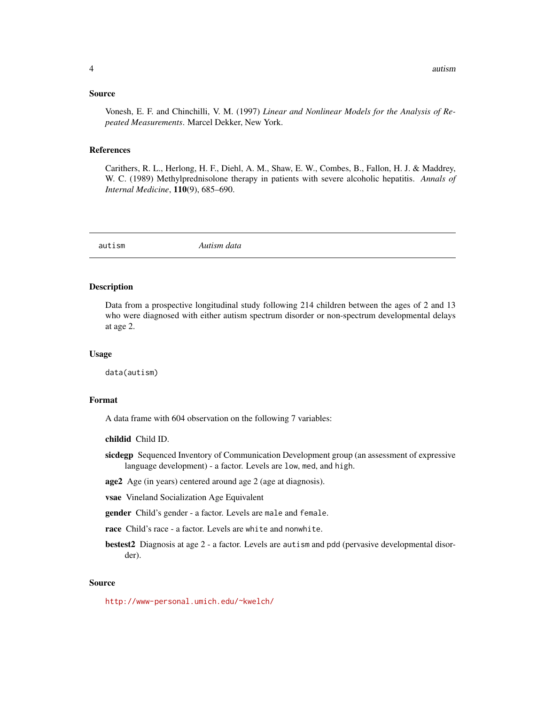#### <span id="page-3-0"></span>Source

Vonesh, E. F. and Chinchilli, V. M. (1997) *Linear and Nonlinear Models for the Analysis of Repeated Measurements*. Marcel Dekker, New York.

#### References

Carithers, R. L., Herlong, H. F., Diehl, A. M., Shaw, E. W., Combes, B., Fallon, H. J. & Maddrey, W. C. (1989) Methylprednisolone therapy in patients with severe alcoholic hepatitis. *Annals of Internal Medicine*, 110(9), 685–690.

autism *Autism data*

#### Description

Data from a prospective longitudinal study following 214 children between the ages of 2 and 13 who were diagnosed with either autism spectrum disorder or non-spectrum developmental delays at age 2.

#### Usage

data(autism)

## Format

A data frame with 604 observation on the following 7 variables:

childid Child ID.

- sicdegp Sequenced Inventory of Communication Development group (an assessment of expressive language development) - a factor. Levels are low, med, and high.
- age2 Age (in years) centered around age 2 (age at diagnosis).
- vsae Vineland Socialization Age Equivalent

gender Child's gender - a factor. Levels are male and female.

- race Child's race a factor. Levels are white and nonwhite.
- bestest2 Diagnosis at age 2 a factor. Levels are autism and pdd (pervasive developmental disorder).

#### Source

<http://www-personal.umich.edu/~kwelch/>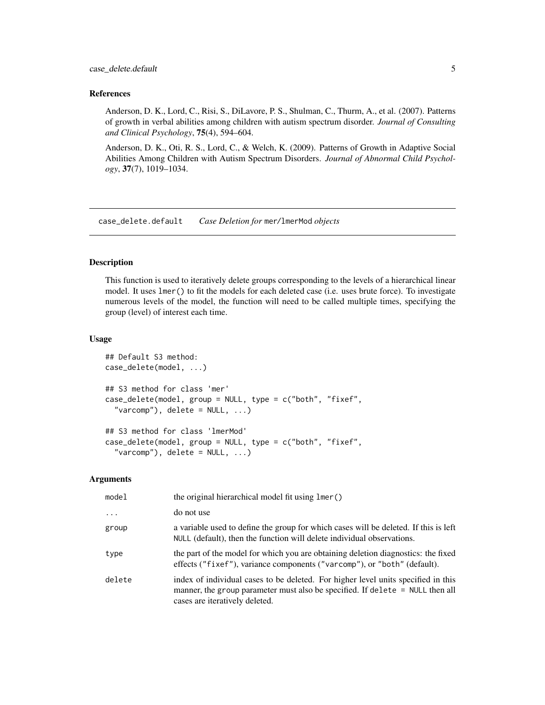#### <span id="page-4-0"></span>References

Anderson, D. K., Lord, C., Risi, S., DiLavore, P. S., Shulman, C., Thurm, A., et al. (2007). Patterns of growth in verbal abilities among children with autism spectrum disorder. *Journal of Consulting and Clinical Psychology*, 75(4), 594–604.

Anderson, D. K., Oti, R. S., Lord, C., & Welch, K. (2009). Patterns of Growth in Adaptive Social Abilities Among Children with Autism Spectrum Disorders. *Journal of Abnormal Child Psychology*, 37(7), 1019–1034.

case\_delete.default *Case Deletion for* mer*/*lmerMod *objects*

#### Description

This function is used to iteratively delete groups corresponding to the levels of a hierarchical linear model. It uses lmer() to fit the models for each deleted case (i.e. uses brute force). To investigate numerous levels of the model, the function will need to be called multiple times, specifying the group (level) of interest each time.

## Usage

```
## Default S3 method:
case_delete(model, ...)
## S3 method for class 'mer'
case_delete(model, group = NULL, type = c("both", "fixef",
  "varcomp"), delete = NULL, ...)## S3 method for class 'lmerMod'
case_delete(model, group = NULL, type = c("both", "fixef",
  "varcomp"), delete = NULL, ...)
```
#### Arguments

| model    | the original hierarchical model fit using lmer()                                                                                                                                                     |
|----------|------------------------------------------------------------------------------------------------------------------------------------------------------------------------------------------------------|
| $\cdots$ | do not use                                                                                                                                                                                           |
| group    | a variable used to define the group for which cases will be deleted. If this is left<br>NULL (default), then the function will delete individual observations.                                       |
| type     | the part of the model for which you are obtaining deletion diagnostics: the fixed<br>effects ("fixef"), variance components ("varcomp"), or "both" (default).                                        |
| delete   | index of individual cases to be deleted. For higher level units specified in this<br>manner, the group parameter must also be specified. If delete = NULL then all<br>cases are iteratively deleted. |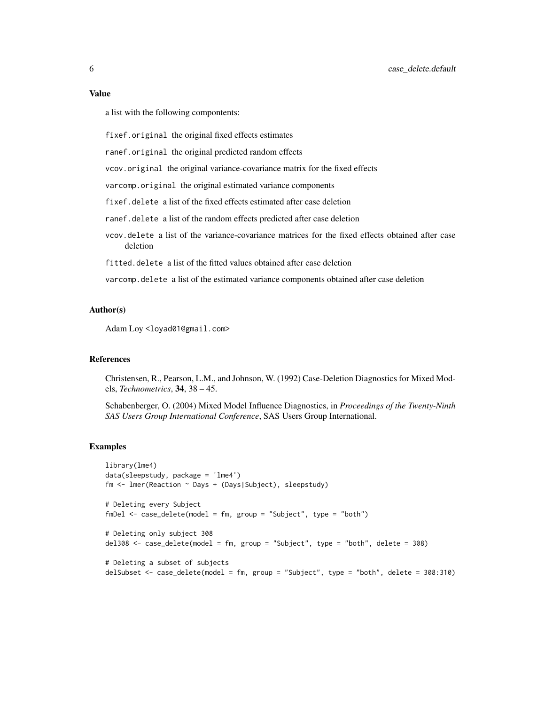#### Value

a list with the following compontents:

fixef.original the original fixed effects estimates

ranef.original the original predicted random effects

vcov.original the original variance-covariance matrix for the fixed effects

varcomp.original the original estimated variance components

fixef.delete a list of the fixed effects estimated after case deletion

ranef.delete a list of the random effects predicted after case deletion

vcov.delete a list of the variance-covariance matrices for the fixed effects obtained after case deletion

fitted.delete a list of the fitted values obtained after case deletion

varcomp.delete a list of the estimated variance components obtained after case deletion

#### Author(s)

Adam Loy <loyad01@gmail.com>

#### References

Christensen, R., Pearson, L.M., and Johnson, W. (1992) Case-Deletion Diagnostics for Mixed Models, *Technometrics*, 34, 38 – 45.

Schabenberger, O. (2004) Mixed Model Influence Diagnostics, in *Proceedings of the Twenty-Ninth SAS Users Group International Conference*, SAS Users Group International.

#### Examples

```
library(lme4)
data(sleepstudy, package = 'lme4')
fm <- lmer(Reaction ~ Days + (Days|Subject), sleepstudy)
# Deleting every Subject
fmDel <- case_delete(model = fm, group = "Subject", type = "both")
# Deleting only subject 308
del308 <- case_delete(model = fm, group = "Subject", type = "both", delete = 308)
# Deleting a subset of subjects
delSubset <- case_delete(model = fm, group = "Subject", type = "both", delete = 308:310)
```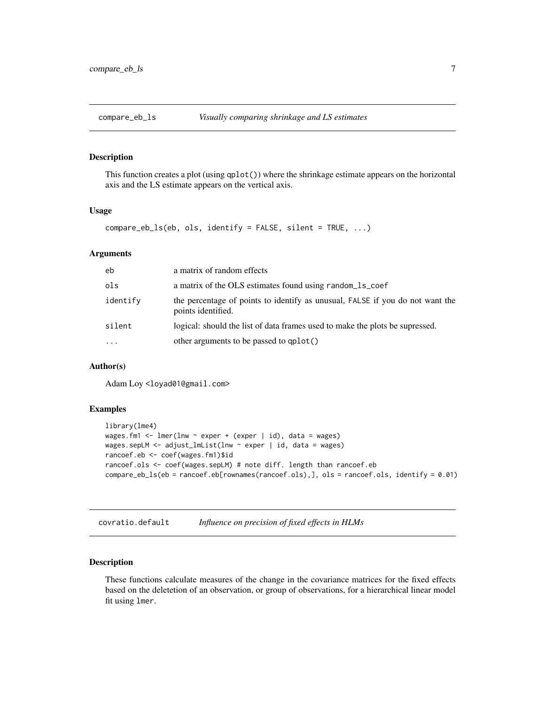<span id="page-6-0"></span>

## Description

This function creates a plot (using qplot()) where the shrinkage estimate appears on the horizontal axis and the LS estimate appears on the vertical axis.

#### Usage

```
compare_eb_ls(eb, ols, identify = FALSE, silent = TRUE, ...)
```
#### Arguments

| eb       | a matrix of random effects                                                                          |
|----------|-----------------------------------------------------------------------------------------------------|
| ols      | a matrix of the OLS estimates found using random 1s coef                                            |
| identify | the percentage of points to identify as unusual, FALSE if you do not want the<br>points identified. |
| silent   | logical: should the list of data frames used to make the plots be supressed.                        |
| $\cdots$ | other arguments to be passed to qplot()                                                             |

## Author(s)

Adam Loy <loyad01@gmail.com>

#### Examples

```
library(lme4)
wages.fm1 <- lmer(lnw ~ exper + (exper | id), data = wages)
wages.sepLM <- adjust_lmList(lnw ~ exper | id, data = wages)
rancoef.eb <- coef(wages.fm1)$id
rancoef.ols <- coef(wages.sepLM) # note diff. length than rancoef.eb
compare_eb_ls(eb = rancoef.eb[rownames(rancoef.ols),], ols = rancoef.ols, identify = 0.01)
```
covratio.default *Influence on precision of fixed effects in HLMs*

#### <span id="page-6-1"></span>Description

These functions calculate measures of the change in the covariance matrices for the fixed effects based on the deletetion of an observation, or group of observations, for a hierarchical linear model fit using lmer.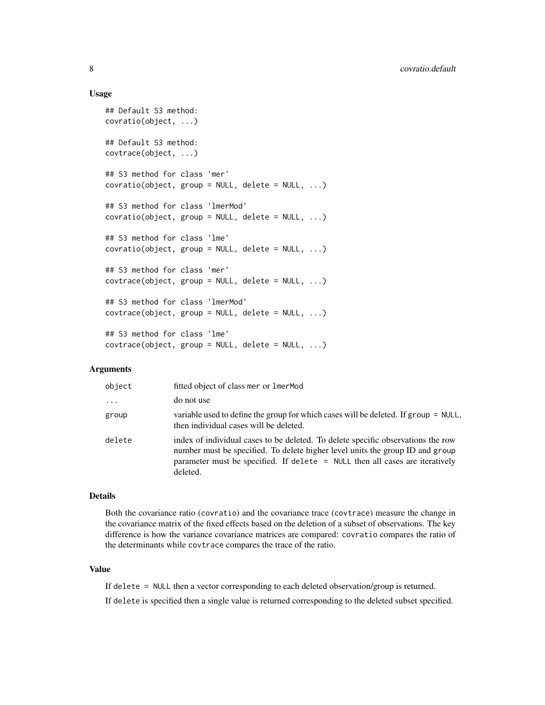#### Usage

```
## Default S3 method:
covratio(object, ...)
## Default S3 method:
covtrace(object, ...)
## S3 method for class 'mer'
covratio(object, group = NULL, delete = NULL, ...)## S3 method for class 'lmerMod'
covratio(object, group = NULL, delete = NULL, ...)## S3 method for class 'lme'
covratio(object, group = NULL, delete = NULL, ...)## S3 method for class 'mer'
covtrace(object, group = NULL, delete = NULL, ...)## S3 method for class 'lmerMod'
covtrace(object, group = NULL, delete = NULL, ...)## S3 method for class 'lme'
covtrace(object, group = NULL, delete = NULL, ...)
```
## Arguments

| object   | fitted object of class mer or 1 mer Mod                                                                                                                                                                                                                         |
|----------|-----------------------------------------------------------------------------------------------------------------------------------------------------------------------------------------------------------------------------------------------------------------|
| $\cdots$ | do not use                                                                                                                                                                                                                                                      |
| group    | variable used to define the group for which cases will be deleted. If group = NULL,<br>then individual cases will be deleted.                                                                                                                                   |
| delete   | index of individual cases to be deleted. To delete specific observations the row<br>number must be specified. To delete higher level units the group ID and group<br>parameter must be specified. If delete $=$ NULL then all cases are iteratively<br>deleted. |

#### Details

Both the covariance ratio (covratio) and the covariance trace (covtrace) measure the change in the covariance matrix of the fixed effects based on the deletion of a subset of observations. The key difference is how the variance covariance matrices are compared: covratio compares the ratio of the determinants while covtrace compares the trace of the ratio.

## Value

If delete = NULL then a vector corresponding to each deleted observation/group is returned.

If delete is specified then a single value is returned corresponding to the deleted subset specified.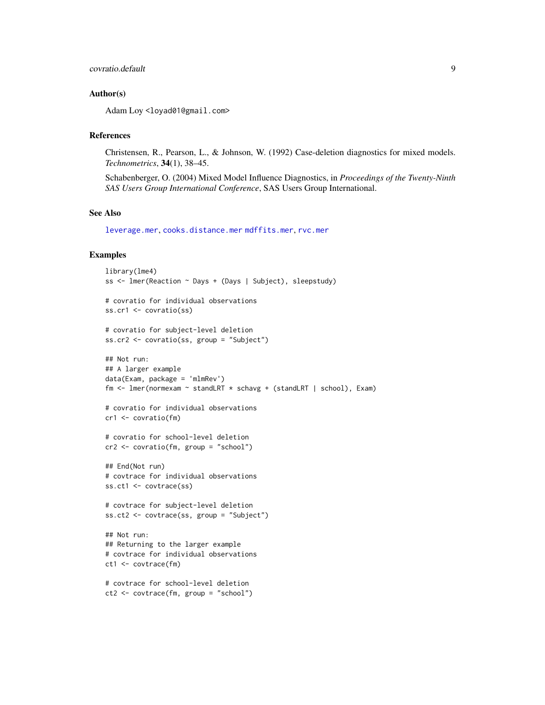## <span id="page-8-0"></span>covratio.default 9

## Author(s)

Adam Loy <loyad01@gmail.com>

#### References

Christensen, R., Pearson, L., & Johnson, W. (1992) Case-deletion diagnostics for mixed models. *Technometrics*, 34(1), 38–45.

Schabenberger, O. (2004) Mixed Model Influence Diagnostics, in *Proceedings of the Twenty-Ninth SAS Users Group International Conference*, SAS Users Group International.

## See Also

[leverage.mer](#page-16-1), [cooks.distance.mer](#page-19-1) [mdffits.mer](#page-19-1), [rvc.mer](#page-23-1)

## Examples

```
library(lme4)
ss <- lmer(Reaction ~ Days + (Days | Subject), sleepstudy)
# covratio for individual observations
ss.cr1 <- covratio(ss)
# covratio for subject-level deletion
ss.cr2 <- covratio(ss, group = "Subject")
## Not run:
## A larger example
data(Exam, package = 'mlmRev')
fm <- lmer(normexam ~ standLRT * schavg + (standLRT | school), Exam)
# covratio for individual observations
cr1 <- covratio(fm)
# covratio for school-level deletion
cr2 <- covratio(fm, group = "school")
## End(Not run)
# covtrace for individual observations
ss.ct1 <- covtrace(ss)
# covtrace for subject-level deletion
ss.ct2 <- covtrace(ss, group = "Subject")
## Not run:
## Returning to the larger example
# covtrace for individual observations
ct1 <- covtrace(fm)
# covtrace for school-level deletion
ct2 <- covtrace(fm, group = "school")
```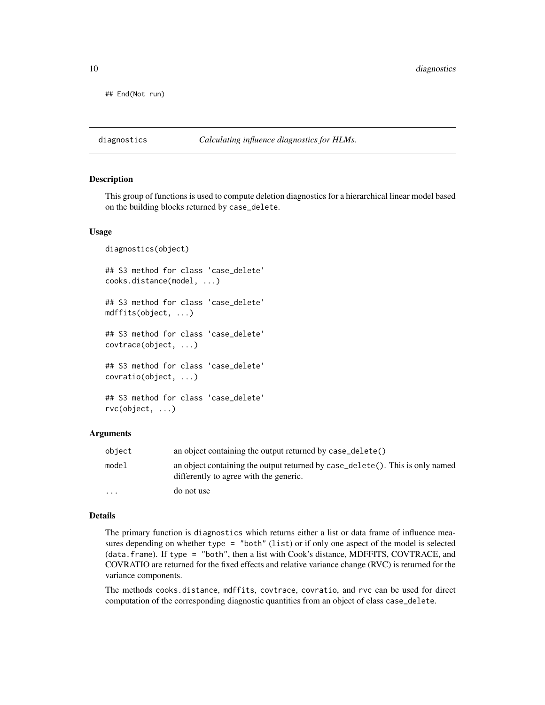<span id="page-9-0"></span>## End(Not run)

diagnostics *Calculating influence diagnostics for HLMs.*

#### Description

This group of functions is used to compute deletion diagnostics for a hierarchical linear model based on the building blocks returned by case\_delete.

## Usage

```
diagnostics(object)
## S3 method for class 'case_delete'
cooks.distance(model, ...)
## S3 method for class 'case_delete'
mdffits(object, ...)
## S3 method for class 'case_delete'
covtrace(object, ...)
## S3 method for class 'case_delete'
covratio(object, ...)
## S3 method for class 'case_delete'
rvc(object, ...)
```
## Arguments

| object   | an object containing the output returned by case_delete()                                                               |
|----------|-------------------------------------------------------------------------------------------------------------------------|
| model    | an object containing the output returned by case_delete(). This is only named<br>differently to agree with the generic. |
| $\cdots$ | do not use                                                                                                              |

## Details

The primary function is diagnostics which returns either a list or data frame of influence measures depending on whether type = "both" (list) or if only one aspect of the model is selected (data.frame). If type = "both", then a list with Cook's distance, MDFFITS, COVTRACE, and COVRATIO are returned for the fixed effects and relative variance change (RVC) is returned for the variance components.

The methods cooks.distance, mdffits, covtrace, covratio, and rvc can be used for direct computation of the corresponding diagnostic quantities from an object of class case\_delete.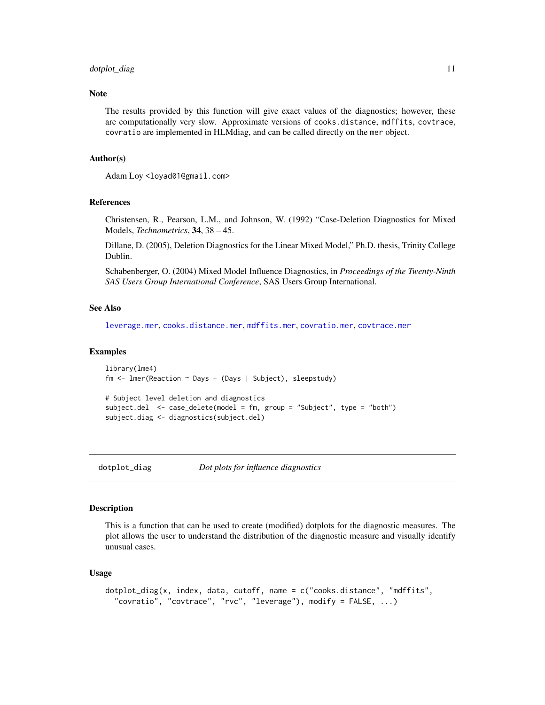## <span id="page-10-0"></span>dotplot\_diag 11

## **Note**

The results provided by this function will give exact values of the diagnostics; however, these are computationally very slow. Approximate versions of cooks.distance, mdffits, covtrace, covratio are implemented in HLMdiag, and can be called directly on the mer object.

#### Author(s)

Adam Loy <loyad01@gmail.com>

#### References

Christensen, R., Pearson, L.M., and Johnson, W. (1992) "Case-Deletion Diagnostics for Mixed Models, *Technometrics*, 34, 38 – 45.

Dillane, D. (2005), Deletion Diagnostics for the Linear Mixed Model," Ph.D. thesis, Trinity College Dublin.

Schabenberger, O. (2004) Mixed Model Influence Diagnostics, in *Proceedings of the Twenty-Ninth SAS Users Group International Conference*, SAS Users Group International.

## See Also

[leverage.mer](#page-16-1), [cooks.distance.mer](#page-19-1), [mdffits.mer](#page-19-1), [covratio.mer](#page-6-1), [covtrace.mer](#page-6-1)

#### Examples

```
library(lme4)
fm <- lmer(Reaction ~ Days + (Days | Subject), sleepstudy)
# Subject level deletion and diagnostics
subject.del <- case_delete(model = fm, group = "Subject", type = "both")
subject.diag <- diagnostics(subject.del)
```
<span id="page-10-1"></span>

dotplot\_diag *Dot plots for influence diagnostics*

#### Description

This is a function that can be used to create (modified) dotplots for the diagnostic measures. The plot allows the user to understand the distribution of the diagnostic measure and visually identify unusual cases.

#### Usage

```
dotplot_diag(x, index, data, cutoff, name = c("cooks.distance", "mdffits",
  "covratio", "covtrace", "rvc", "leverage"), modify = FALSE, ...)
```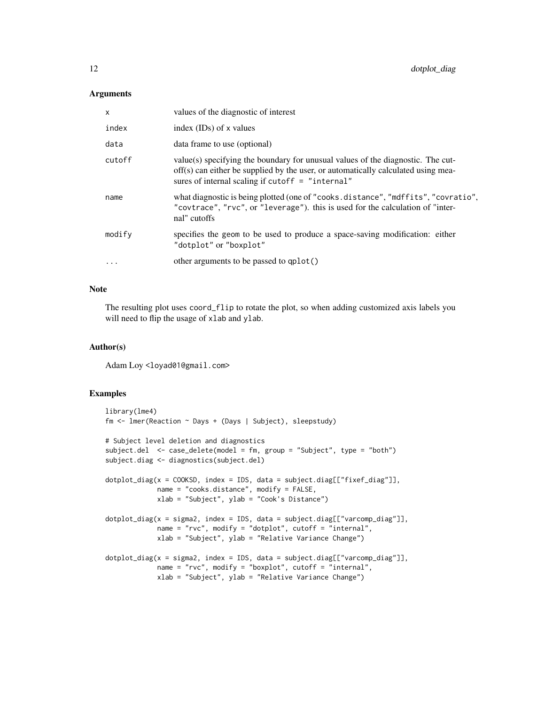## **Arguments**

| $\mathsf{x}$ | values of the diagnostic of interest                                                                                                                                                                                       |
|--------------|----------------------------------------------------------------------------------------------------------------------------------------------------------------------------------------------------------------------------|
| index        | index $(IDs)$ of x values                                                                                                                                                                                                  |
| data         | data frame to use (optional)                                                                                                                                                                                               |
| cutoff       | value(s) specifying the boundary for unusual values of the diagnostic. The cut-<br>off(s) can either be supplied by the user, or automatically calculated using mea-<br>sures of internal scaling if cutoff $=$ "internal" |
| name         | what diagnostic is being plotted (one of "cooks.distance", "mdffits", "covratio",<br>"covtrace", "rvc", or "leverage"). this is used for the calculation of "inter-<br>nal" cutoffs                                        |
| modify       | specifies the geom to be used to produce a space-saving modification: either<br>"dotplot" or "boxplot"                                                                                                                     |
| $\ddotsc$    | other arguments to be passed to qplot()                                                                                                                                                                                    |

## Note

The resulting plot uses coord\_flip to rotate the plot, so when adding customized axis labels you will need to flip the usage of xlab and ylab.

## Author(s)

Adam Loy <loyad01@gmail.com>

## Examples

```
library(lme4)
fm <- lmer(Reaction ~ Days + (Days | Subject), sleepstudy)
# Subject level deletion and diagnostics
subject.del <- case_delete(model = fm, group = "Subject", type = "both")
subject.diag <- diagnostics(subject.del)
dotplot_diag(x = COOKSD, index = IDS, data = subject.diag[["fixef_diag"]],
            name = "cooks.distance", modify = FALSE,
            xlab = "Subject", ylab = "Cook's Distance")
dotplot_diag(x = sigma2, index = IDS, data = subject.diag[["varcomp_diag"]],
             name = "rvc", modify = "dotplot", cutoff = "internal",
             xlab = "Subject", ylab = "Relative Variance Change")
dotplot_diag(x = sigma2, index = IDS, data = subject.diag[["varcomp_diag"]],
             name = "rvc", modify = "boxplot", cutoff = "internal",
             xlab = "Subject", ylab = "Relative Variance Change")
```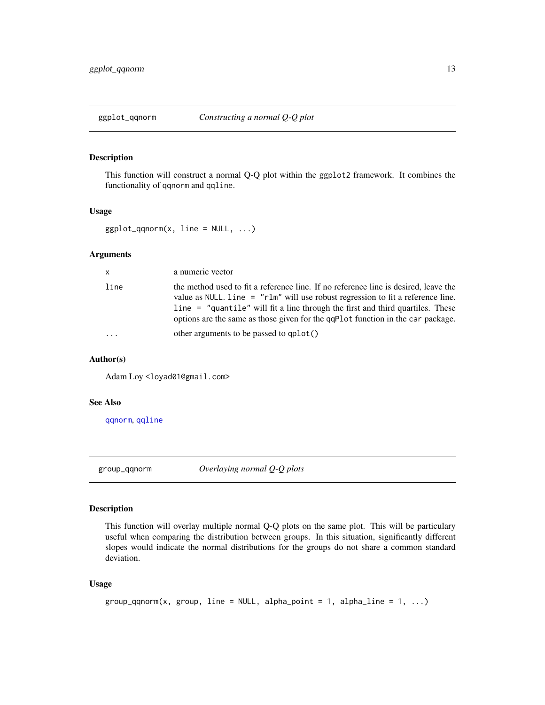## <span id="page-12-2"></span><span id="page-12-0"></span>Description

This function will construct a normal Q-Q plot within the ggplot2 framework. It combines the functionality of qqnorm and qqline.

#### Usage

```
ggplot_qqnorm(x, line = NULL, ...)
```
## Arguments

| $\mathsf{X}$ | a numeric vector                                                                                                                                                                                                                                                                                                                            |
|--------------|---------------------------------------------------------------------------------------------------------------------------------------------------------------------------------------------------------------------------------------------------------------------------------------------------------------------------------------------|
| line         | the method used to fit a reference line. If no reference line is desired, leave the<br>value as NULL. line = "rlm" will use robust regression to fit a reference line.<br>line = "quantile" will fit a line through the first and third quartiles. These<br>options are the same as those given for the qqP1ot function in the car package. |
| .            | other arguments to be passed to qplot()                                                                                                                                                                                                                                                                                                     |

## Author(s)

Adam Loy <loyad01@gmail.com>

## See Also

[qqnorm](#page-0-0), [qqline](#page-0-0)

<span id="page-12-1"></span>group\_qqnorm *Overlaying normal Q-Q plots*

## **Description**

This function will overlay multiple normal Q-Q plots on the same plot. This will be particulary useful when comparing the distribution between groups. In this situation, significantly different slopes would indicate the normal distributions for the groups do not share a common standard deviation.

## Usage

```
group_qqnorm(x, group, line = NULL, alpha_point = 1, alpha_line = 1, ...)
```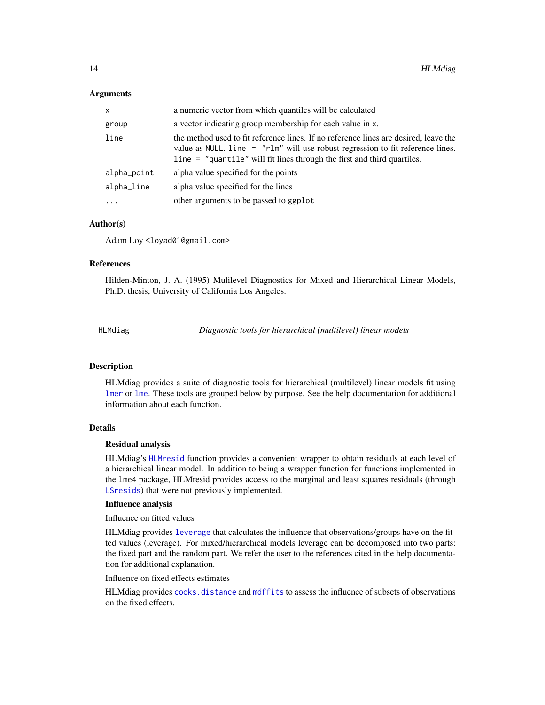#### <span id="page-13-0"></span>**Arguments**

| X           | a numeric vector from which quantiles will be calculated                                                                                                                                                                                              |
|-------------|-------------------------------------------------------------------------------------------------------------------------------------------------------------------------------------------------------------------------------------------------------|
| group       | a vector indicating group membership for each value in x.                                                                                                                                                                                             |
| line        | the method used to fit reference lines. If no reference lines are desired, leave the<br>value as NULL. line $=$ "rlm" will use robust regression to fit reference lines.<br>$line = "quantile"$ will fit lines through the first and third quartiles. |
| alpha_point | alpha value specified for the points                                                                                                                                                                                                                  |
| alpha_line  | alpha value specified for the lines                                                                                                                                                                                                                   |
| $\ddots$ .  | other arguments to be passed to ggplot                                                                                                                                                                                                                |

## Author(s)

Adam Loy <loyad01@gmail.com>

## References

Hilden-Minton, J. A. (1995) Mulilevel Diagnostics for Mixed and Hierarchical Linear Models, Ph.D. thesis, University of California Los Angeles.

HLMdiag *Diagnostic tools for hierarchical (multilevel) linear models*

#### Description

HLMdiag provides a suite of diagnostic tools for hierarchical (multilevel) linear models fit using [lmer](#page-0-0) or [lme](#page-0-0). These tools are grouped below by purpose. See the help documentation for additional information about each function.

#### Details

#### Residual analysis

HLMdiag's [HLMresid](#page-14-1) function provides a convenient wrapper to obtain residuals at each level of a hierarchical linear model. In addition to being a wrapper function for functions implemented in the lme4 package, HLMresid provides access to the marginal and least squares residuals (through [LSresids](#page-18-1)) that were not previously implemented.

## Influence analysis

Influence on fitted values

HLMdiag provides [leverage](#page-16-1) that calculates the influence that observations/groups have on the fitted values (leverage). For mixed/hierarchical models leverage can be decomposed into two parts: the fixed part and the random part. We refer the user to the references cited in the help documentation for additional explanation.

Influence on fixed effects estimates

HLMdiag provides [cooks.distance](#page-19-1) and [mdffits](#page-19-1) to assess the influence of subsets of observations on the fixed effects.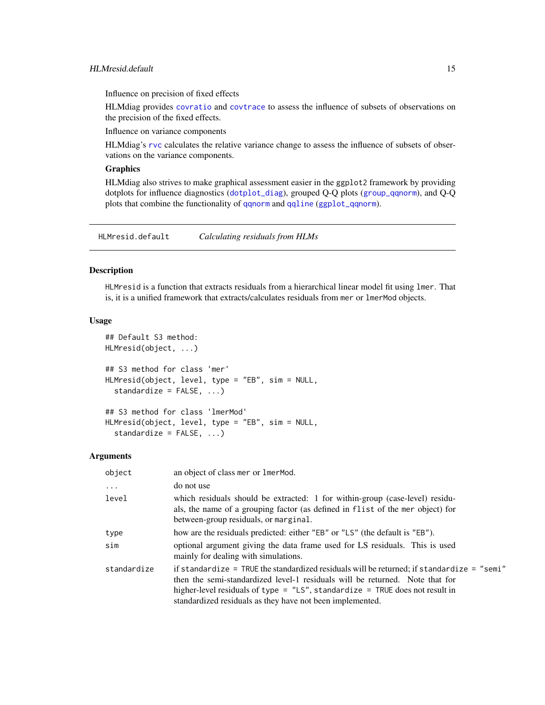<span id="page-14-0"></span>Influence on precision of fixed effects

HLMdiag provides [covratio](#page-6-1) and [covtrace](#page-6-1) to assess the influence of subsets of observations on the precision of the fixed effects.

Influence on variance components

HLMdiag's [rvc](#page-23-1) calculates the relative variance change to assess the influence of subsets of observations on the variance components.

## **Graphics**

HLMdiag also strives to make graphical assessment easier in the ggplot2 framework by providing dotplots for influence diagnostics ([dotplot\\_diag](#page-10-1)), grouped Q-Q plots ([group\\_qqnorm](#page-12-1)), and Q-Q plots that combine the functionality of [qqnorm](#page-0-0) and [qqline](#page-0-0) ([ggplot\\_qqnorm](#page-12-2)).

HLMresid.default *Calculating residuals from HLMs*

## <span id="page-14-1"></span>Description

HLMresid is a function that extracts residuals from a hierarchical linear model fit using lmer. That is, it is a unified framework that extracts/calculates residuals from mer or lmerMod objects.

#### Usage

```
## Default S3 method:
HLMresid(object, ...)
## S3 method for class 'mer'
HLMresid(object, level, type = "EB", sim = NULL,
  standardize = FALSE, ...)
## S3 method for class 'lmerMod'
HLMresid(object, level, type = "EB", sim = NULL,
```
standardize = FALSE, ...)

#### **Arguments**

| object      | an object of class mer or lmerMod.                                                                                                                                                                                                                                                                                         |  |
|-------------|----------------------------------------------------------------------------------------------------------------------------------------------------------------------------------------------------------------------------------------------------------------------------------------------------------------------------|--|
| $\ddots$    | do not use                                                                                                                                                                                                                                                                                                                 |  |
| level       | which residuals should be extracted: 1 for within-group (case-level) residu-<br>als, the name of a grouping factor (as defined in flist of the mer object) for<br>between-group residuals, or marginal.                                                                                                                    |  |
| type        | how are the residuals predicted: either "EB" or "LS" (the default is "EB").                                                                                                                                                                                                                                                |  |
| sim         | optional argument giving the data frame used for LS residuals. This is used<br>mainly for dealing with simulations.                                                                                                                                                                                                        |  |
| standardize | if standardize = TRUE the standardized residuals will be returned; if standardize = "semi"<br>then the semi-standardized level-1 residuals will be returned. Note that for<br>higher-level residuals of type = $"LS"$ , standardize = TRUE does not result in<br>standardized residuals as they have not been implemented. |  |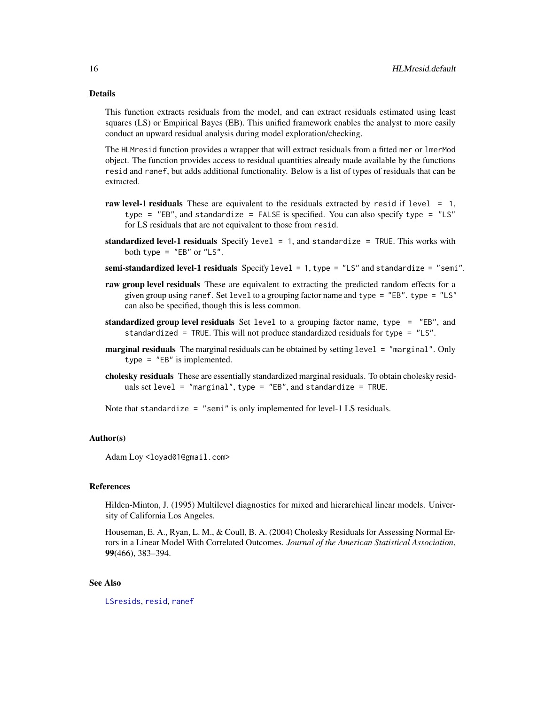## Details

This function extracts residuals from the model, and can extract residuals estimated using least squares (LS) or Empirical Bayes (EB). This unified framework enables the analyst to more easily conduct an upward residual analysis during model exploration/checking.

The HLMresid function provides a wrapper that will extract residuals from a fitted mer or lmerMod object. The function provides access to residual quantities already made available by the functions resid and ranef, but adds additional functionality. Below is a list of types of residuals that can be extracted.

- raw level-1 residuals These are equivalent to the residuals extracted by resid if level  $= 1$ , type = "EB", and standardize = FALSE is specified. You can also specify type = "LS" for LS residuals that are not equivalent to those from resid.
- standardized level-1 residuals Specify level  $= 1$ , and standardize  $=$  TRUE. This works with both type =  $"EB"$  or  $"LS".$
- semi-standardized level-1 residuals Specify level  $= 1$ , type  $=$  "LS" and standardize  $=$  "semi".
- raw group level residuals These are equivalent to extracting the predicted random effects for a given group using ranef. Set level to a grouping factor name and type = "EB". type = "LS" can also be specified, though this is less common.
- standardized group level residuals Set level to a grouping factor name, type = "EB", and standardized = TRUE. This will not produce standardized residuals for type = "LS".
- **marginal residuals** The marginal residuals can be obtained by setting level = "marginal". Only type = "EB" is implemented.
- cholesky residuals These are essentially standardized marginal residuals. To obtain cholesky residuals set level = "marginal", type = "EB", and standardize = TRUE.

Note that standardize = "semi" is only implemented for level-1 LS residuals.

#### Author(s)

Adam Loy <loyad01@gmail.com>

#### References

Hilden-Minton, J. (1995) Multilevel diagnostics for mixed and hierarchical linear models. University of California Los Angeles.

Houseman, E. A., Ryan, L. M., & Coull, B. A. (2004) Cholesky Residuals for Assessing Normal Errors in a Linear Model With Correlated Outcomes. *Journal of the American Statistical Association*, 99(466), 383–394.

#### See Also

[LSresids](#page-18-1), [resid](#page-0-0), [ranef](#page-0-0)

<span id="page-15-0"></span>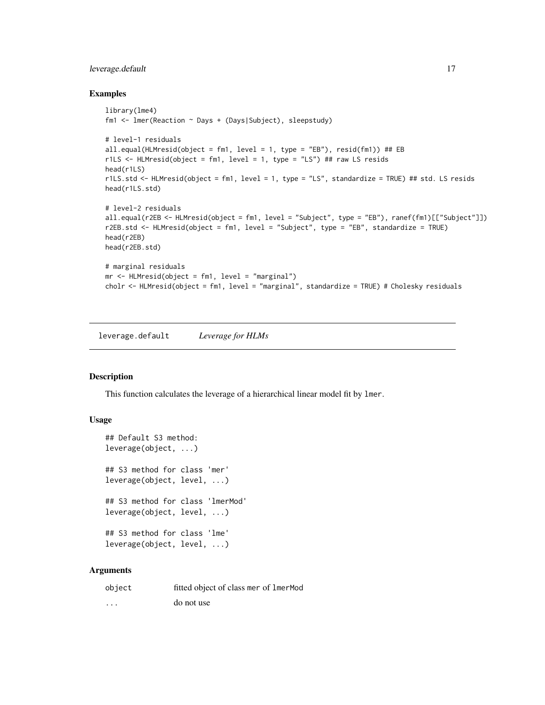## <span id="page-16-0"></span>leverage.default 17

#### Examples

```
library(lme4)
fm1 <- lmer(Reaction ~ Days + (Days|Subject), sleepstudy)
# level-1 residuals
all.equal(HLMresid(object = fm1, level = 1, type = "EB"), resid(fm1)) ## EB
r1LS \le HLMresid(object = fm1, level = 1, type = "LS") ## raw LS resids
head(r1LS)
r1LS.std <- HLMresid(object = fm1, level = 1, type = "LS", standardize = TRUE) ## std. LS resids
head(r1LS.std)
# level-2 residuals
all.equal(r2EB <- HLMresid(object = fm1, level = "Subject", type = "EB"), ranef(fm1)[["Subject"]])
r2EB.std <- HLMresid(object = fm1, level = "Subject", type = "EB", standardize = TRUE)
head(r2EB)
head(r2EB.std)
# marginal residuals
mr <- HLMresid(object = fm1, level = "marginal")
cholr <- HLMresid(object = fm1, level = "marginal", standardize = TRUE) # Cholesky residuals
```
leverage.default *Leverage for HLMs*

## <span id="page-16-1"></span>Description

This function calculates the leverage of a hierarchical linear model fit by lmer.

## Usage

```
## Default S3 method:
leverage(object, ...)
## S3 method for class 'mer'
leverage(object, level, ...)
## S3 method for class 'lmerMod'
leverage(object, level, ...)
## S3 method for class 'lme'
leverage(object, level, ...)
```
## Arguments

| object                  | fitted object of class mer of 1merMod |
|-------------------------|---------------------------------------|
| $\cdot$ $\cdot$ $\cdot$ | do not use                            |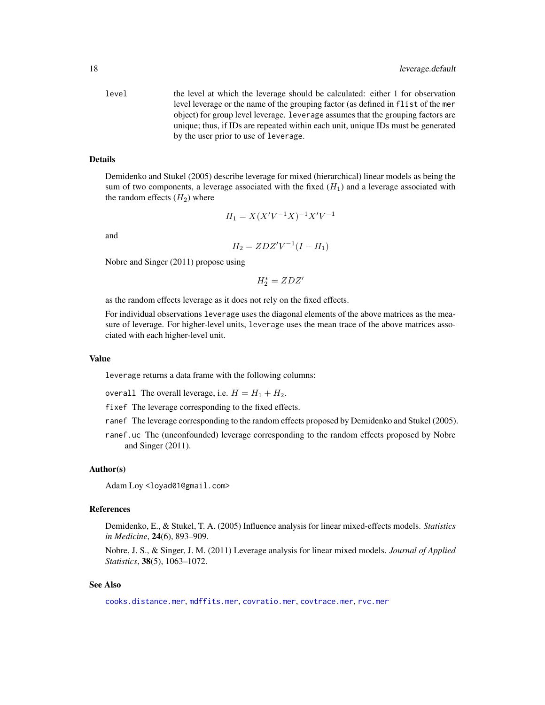<span id="page-17-0"></span>level the level at which the leverage should be calculated: either 1 for observation level leverage or the name of the grouping factor (as defined in flist of the mer object) for group level leverage. leverage assumes that the grouping factors are unique; thus, if IDs are repeated within each unit, unique IDs must be generated by the user prior to use of leverage.

#### Details

Demidenko and Stukel (2005) describe leverage for mixed (hierarchical) linear models as being the sum of two components, a leverage associated with the fixed  $(H_1)$  and a leverage associated with the random effects  $(H_2)$  where

$$
H_1 = X(X'V^{-1}X)^{-1}X'V^{-1}
$$

and

$$
H_2 = ZDZ'V^{-1}(I - H_1)
$$

Nobre and Singer (2011) propose using

$$
H_2^*=ZDZ^{\prime}
$$

as the random effects leverage as it does not rely on the fixed effects.

For individual observations leverage uses the diagonal elements of the above matrices as the measure of leverage. For higher-level units, leverage uses the mean trace of the above matrices associated with each higher-level unit.

#### Value

leverage returns a data frame with the following columns:

- overall The overall leverage, i.e.  $H = H_1 + H_2$ .
- fixef The leverage corresponding to the fixed effects.
- ranef The leverage corresponding to the random effects proposed by Demidenko and Stukel (2005).
- ranef.uc The (unconfounded) leverage corresponding to the random effects proposed by Nobre and Singer (2011).

## Author(s)

Adam Loy <loyad01@gmail.com>

#### References

Demidenko, E., & Stukel, T. A. (2005) Influence analysis for linear mixed-effects models. *Statistics in Medicine*, 24(6), 893–909.

Nobre, J. S., & Singer, J. M. (2011) Leverage analysis for linear mixed models. *Journal of Applied Statistics*, 38(5), 1063–1072.

#### See Also

[cooks.distance.mer](#page-19-1), [mdffits.mer](#page-19-1), [covratio.mer](#page-6-1), [covtrace.mer](#page-6-1), [rvc.mer](#page-23-1)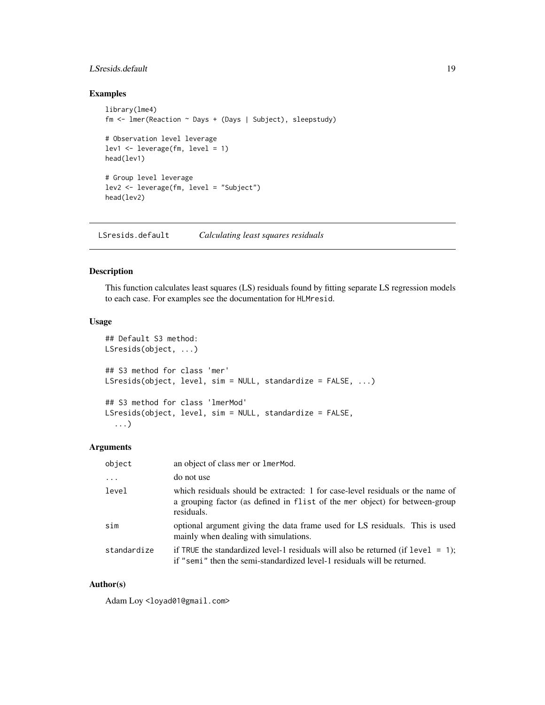## <span id="page-18-0"></span>LSresids.default 19

## Examples

```
library(lme4)
fm <- lmer(Reaction ~ Days + (Days | Subject), sleepstudy)
# Observation level leverage
lev1 \leftarrow leverage(fm, level = 1)head(lev1)
# Group level leverage
lev2 <- leverage(fm, level = "Subject")
head(lev2)
```
LSresids.default *Calculating least squares residuals*

## <span id="page-18-1"></span>Description

This function calculates least squares (LS) residuals found by fitting separate LS regression models to each case. For examples see the documentation for HLMresid.

## Usage

```
## Default S3 method:
LSresids(object, ...)
## S3 method for class 'mer'
LSresids(object, level, sim = NULL, standardize = FALSE, ...)
## S3 method for class 'lmerMod'
LSresids(object, level, sim = NULL, standardize = FALSE,
  ...)
```
## Arguments

| object      | an object of class mer or lmerMod.                                                                                                                                          |
|-------------|-----------------------------------------------------------------------------------------------------------------------------------------------------------------------------|
| .           | do not use                                                                                                                                                                  |
| level       | which residuals should be extracted: 1 for case-level residuals or the name of<br>a grouping factor (as defined in flist of the mer object) for between-group<br>residuals. |
| sim         | optional argument giving the data frame used for LS residuals. This is used<br>mainly when dealing with simulations.                                                        |
| standardize | if TRUE the standardized level-1 residuals will also be returned (if $level = 1$ );<br>if "semi" then the semi-standardized level-1 residuals will be returned.             |

## Author(s)

Adam Loy <loyad01@gmail.com>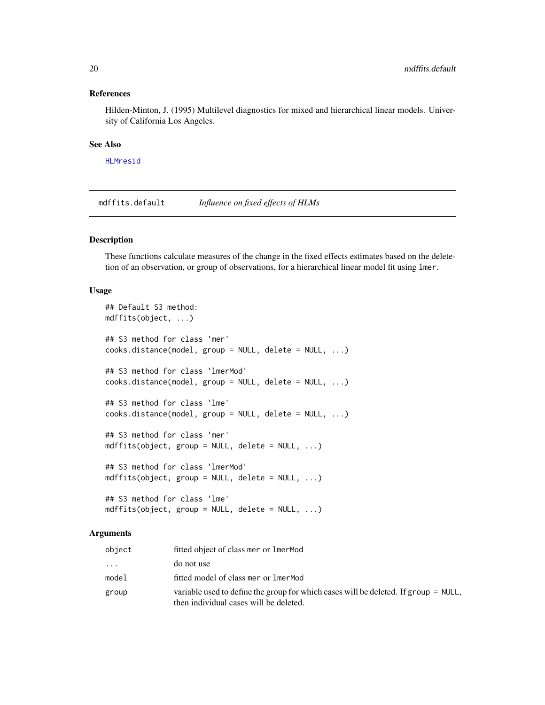#### <span id="page-19-0"></span>References

Hilden-Minton, J. (1995) Multilevel diagnostics for mixed and hierarchical linear models. University of California Los Angeles.

#### See Also

[HLMresid](#page-14-1)

mdffits.default *Influence on fixed effects of HLMs*

## <span id="page-19-1"></span>Description

These functions calculate measures of the change in the fixed effects estimates based on the deletetion of an observation, or group of observations, for a hierarchical linear model fit using lmer.

#### Usage

```
## Default S3 method:
mdffits(object, ...)
## S3 method for class 'mer'
cooks.distance(model, group = NULL, delete = NULL, ...)
## S3 method for class 'lmerMod'
cooks.distance(model, group = NULL, delete = NULL, ...)
## S3 method for class 'lme'
cooks.distance(model, group = NULL, delete = NULL, ...)
## S3 method for class 'mer'
mdffits(object, group = NULL, delete = NULL, ...)
## S3 method for class 'lmerMod'
mdffits(object, group = NULL, delete = NULL, ...)
## S3 method for class 'lme'
mdffits(object, group = NULL, delete = NULL, ...)
```
#### Arguments

| object   | fitted object of class mer or lmerMod                                                                                         |
|----------|-------------------------------------------------------------------------------------------------------------------------------|
| $\ddots$ | do not use                                                                                                                    |
| model    | fitted model of class mer or lmerMod                                                                                          |
| group    | variable used to define the group for which cases will be deleted. If group = NULL,<br>then individual cases will be deleted. |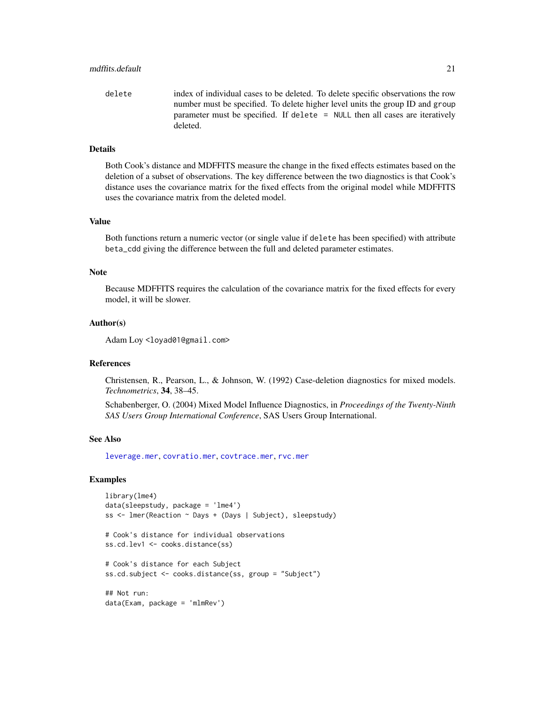<span id="page-20-0"></span>delete index of individual cases to be deleted. To delete specific observations the row number must be specified. To delete higher level units the group ID and group parameter must be specified. If delete = NULL then all cases are iteratively deleted.

## Details

Both Cook's distance and MDFFITS measure the change in the fixed effects estimates based on the deletion of a subset of observations. The key difference between the two diagnostics is that Cook's distance uses the covariance matrix for the fixed effects from the original model while MDFFITS uses the covariance matrix from the deleted model.

## Value

Both functions return a numeric vector (or single value if delete has been specified) with attribute beta\_cdd giving the difference between the full and deleted parameter estimates.

#### Note

Because MDFFITS requires the calculation of the covariance matrix for the fixed effects for every model, it will be slower.

#### Author(s)

Adam Loy <loyad01@gmail.com>

#### References

Christensen, R., Pearson, L., & Johnson, W. (1992) Case-deletion diagnostics for mixed models. *Technometrics*, 34, 38–45.

Schabenberger, O. (2004) Mixed Model Influence Diagnostics, in *Proceedings of the Twenty-Ninth SAS Users Group International Conference*, SAS Users Group International.

#### See Also

[leverage.mer](#page-16-1), [covratio.mer](#page-6-1), [covtrace.mer](#page-6-1), [rvc.mer](#page-23-1)

#### Examples

```
library(lme4)
data(sleepstudy, package = 'lme4')
ss <- lmer(Reaction ~ Days + (Days | Subject), sleepstudy)
# Cook's distance for individual observations
ss.cd.lev1 <- cooks.distance(ss)
# Cook's distance for each Subject
ss.cd.subject <- cooks.distance(ss, group = "Subject")
## Not run:
data(Exam, package = 'mlmRev')
```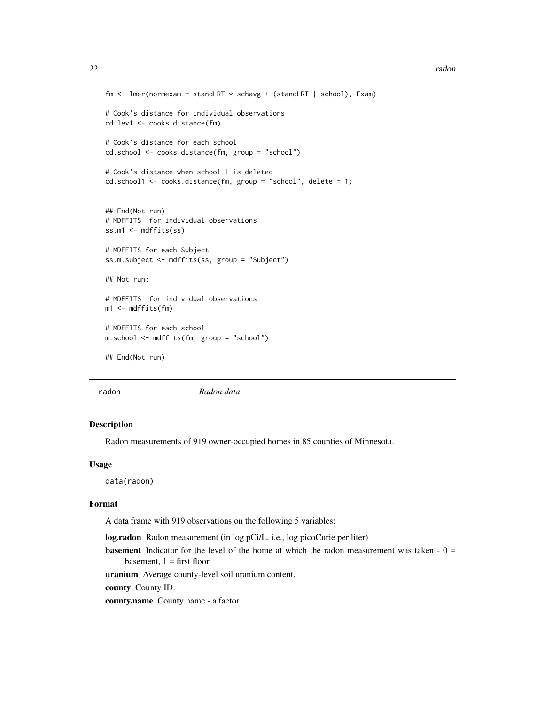```
fm <- lmer(normexam ~ standLRT * schavg + (standLRT | school), Exam)
# Cook's distance for individual observations
cd.lev1 <- cooks.distance(fm)
# Cook's distance for each school
cd.school <- cooks.distance(fm, group = "school")
# Cook's distance when school 1 is deleted
cd.school1 <- cooks.distance(fm, group = "school", delete = 1)
## End(Not run)
# MDFFITS for individual observations
ss.m1 <- mdffits(ss)
# MDFFITS for each Subject
ss.m.subject <- mdffits(ss, group = "Subject")
## Not run:
# MDFFITS for individual observations
m1 <- mdffits(fm)# MDFFITS for each school
m.school <- mdffits(fm, group = "school")
## End(Not run)
```
radon *Radon data*

#### Description

Radon measurements of 919 owner-occupied homes in 85 counties of Minnesota.

#### Usage

data(radon)

#### Format

A data frame with 919 observations on the following 5 variables:

log.radon Radon measurement (in log pCi/L, i.e., log picoCurie per liter)

**basement** Indicator for the level of the home at which the radon measurement was taken  $-0 =$ basement,  $1 =$  first floor.

uranium Average county-level soil uranium content.

county County ID.

county.name County name - a factor.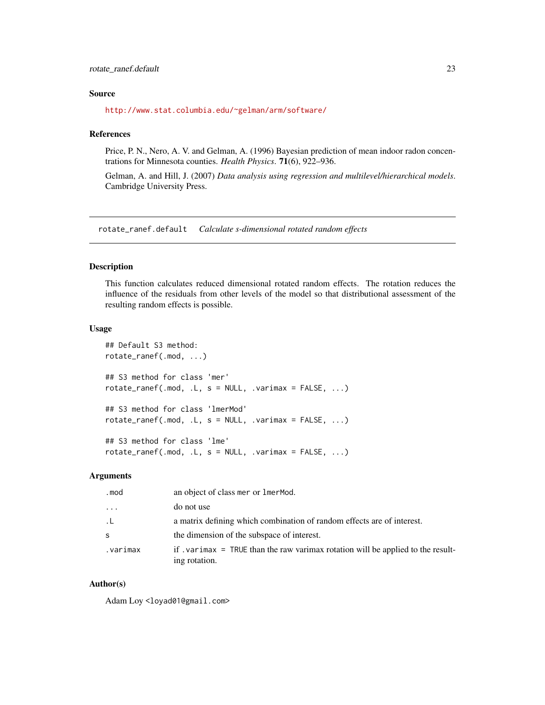#### <span id="page-22-0"></span>Source

<http://www.stat.columbia.edu/~gelman/arm/software/>

#### References

Price, P. N., Nero, A. V. and Gelman, A. (1996) Bayesian prediction of mean indoor radon concentrations for Minnesota counties. *Health Physics*. 71(6), 922–936.

Gelman, A. and Hill, J. (2007) *Data analysis using regression and multilevel/hierarchical models*. Cambridge University Press.

rotate\_ranef.default *Calculate s-dimensional rotated random effects*

#### Description

This function calculates reduced dimensional rotated random effects. The rotation reduces the influence of the residuals from other levels of the model so that distributional assessment of the resulting random effects is possible.

#### Usage

```
## Default S3 method:
rotate_ranef(.mod, ...)
## S3 method for class 'mer'
rotate\_rand(f.mod, L, s = NULL, varimax = FALSE, ...)## S3 method for class 'lmerMod'
rotate\_rand(f.mod, L, s = NULL, varimax = FALSE, ...)## S3 method for class 'lme'
rotate\_rand(f.mod, L, s = NULL, varimax = FALSE, ...)
```
## Arguments

| .mod                    | an object of class mer or lmerMod.                                                                  |
|-------------------------|-----------------------------------------------------------------------------------------------------|
| $\cdot$ $\cdot$ $\cdot$ | do not use                                                                                          |
| .L                      | a matrix defining which combination of random effects are of interest.                              |
| S                       | the dimension of the subspace of interest.                                                          |
| varimax.                | if . varimax $=$ TRUE than the raw varimax rotation will be applied to the result-<br>ing rotation. |

#### Author(s)

Adam Loy <loyad01@gmail.com>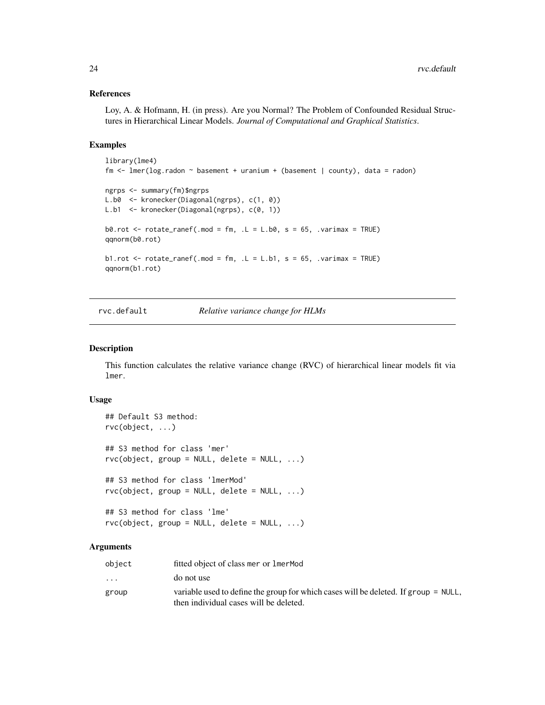#### References

Loy, A. & Hofmann, H. (in press). Are you Normal? The Problem of Confounded Residual Structures in Hierarchical Linear Models. *Journal of Computational and Graphical Statistics*.

#### Examples

```
library(lme4)
fm <- lmer(log.radon ~ basement + uranium + (basement | county), data = radon)
ngrps <- summary(fm)$ngrps
L.b0 <- kronecker(Diagonal(ngrps), c(1, 0))
L.b1 <- kronecker(Diagonal(ngrps), c(0, 1))
b0.rot \le rotate_ranef(.mod = fm, .L = L.b0, s = 65, .varimax = TRUE)
qqnorm(b0.rot)
b1.rot \le rotate_ranef(.mod = fm, .L = L.b1, s = 65, .varimax = TRUE)
qqnorm(b1.rot)
```
rvc.default *Relative variance change for HLMs*

## <span id="page-23-1"></span>Description

This function calculates the relative variance change (RVC) of hierarchical linear models fit via lmer.

#### Usage

```
## Default S3 method:
rvc(object, ...)
## S3 method for class 'mer'
rvc(object, group = NULL, delete = NULL, ...)## S3 method for class 'lmerMod'
rvc(object, group = NULL, delete = NULL, ...)## S3 method for class 'lme'
```
 $rvc(object, group = NULL, delete = NULL, ...)$ 

#### Arguments

| object   | fitted object of class mer or lmerMod                                                                                         |
|----------|-------------------------------------------------------------------------------------------------------------------------------|
| $\cdots$ | do not use                                                                                                                    |
| group    | variable used to define the group for which cases will be deleted. If group = NULL,<br>then individual cases will be deleted. |
|          |                                                                                                                               |

<span id="page-23-0"></span>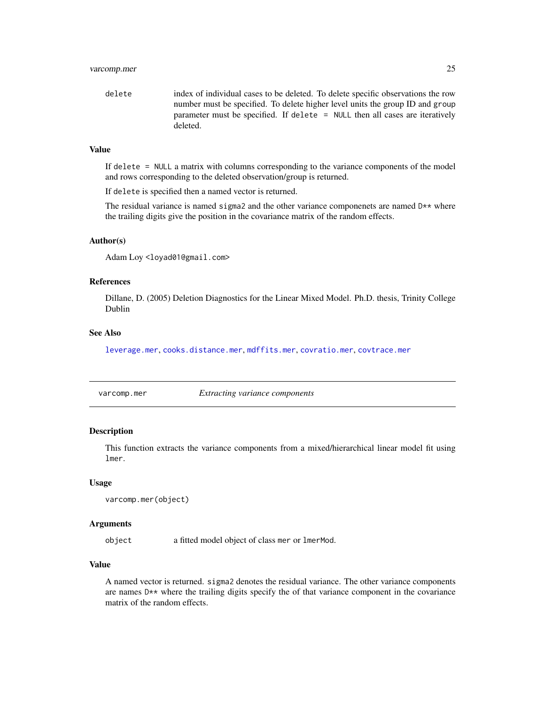## <span id="page-24-0"></span>varcomp.mer 25

delete index of individual cases to be deleted. To delete specific observations the row number must be specified. To delete higher level units the group ID and group parameter must be specified. If delete = NULL then all cases are iteratively deleted.

## Value

If delete = NULL a matrix with columns corresponding to the variance components of the model and rows corresponding to the deleted observation/group is returned.

If delete is specified then a named vector is returned.

The residual variance is named sigma2 and the other variance componenets are named  $D**$  where the trailing digits give the position in the covariance matrix of the random effects.

#### Author(s)

Adam Loy <loyad01@gmail.com>

#### References

Dillane, D. (2005) Deletion Diagnostics for the Linear Mixed Model. Ph.D. thesis, Trinity College Dublin

## See Also

[leverage.mer](#page-16-1), [cooks.distance.mer](#page-19-1), [mdffits.mer](#page-19-1), [covratio.mer](#page-6-1), [covtrace.mer](#page-6-1)

varcomp.mer *Extracting variance components*

#### Description

This function extracts the variance components from a mixed/hierarchical linear model fit using lmer.

#### Usage

```
varcomp.mer(object)
```
#### Arguments

object a fitted model object of class mer or lmerMod.

## Value

A named vector is returned. sigma2 denotes the residual variance. The other variance components are names D<sup>\*\*</sup> where the trailing digits specify the of that variance component in the covariance matrix of the random effects.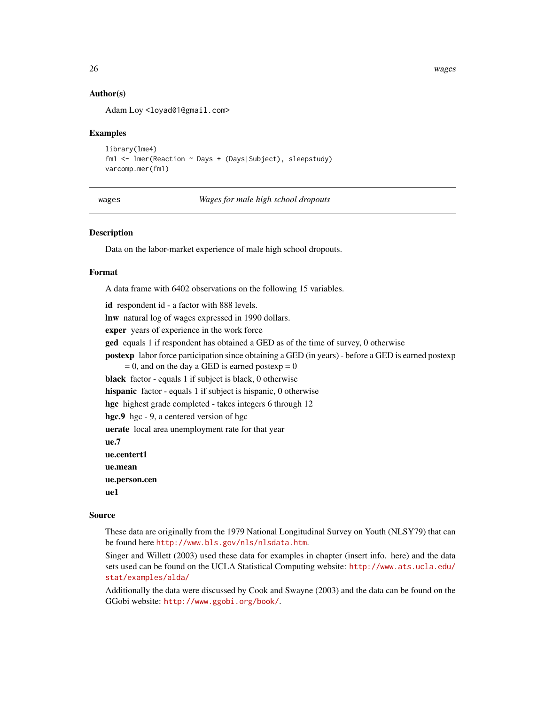26 wages was a set of the contract of the contract of the contract of the contract of the contract of the contract of the contract of the contract of the contract of the contract of the contract of the contract of the cont

## Author(s)

Adam Loy <loyad01@gmail.com>

## Examples

```
library(lme4)
fm1 <- lmer(Reaction ~ Days + (Days|Subject), sleepstudy)
varcomp.mer(fm1)
```
wages *Wages for male high school dropouts*

## **Description**

Data on the labor-market experience of male high school dropouts.

#### Format

A data frame with 6402 observations on the following 15 variables.

id respondent id - a factor with 888 levels.

lnw natural log of wages expressed in 1990 dollars.

exper years of experience in the work force

ged equals 1 if respondent has obtained a GED as of the time of survey, 0 otherwise

postexp labor force participation since obtaining a GED (in years) - before a GED is earned postexp

 $= 0$ , and on the day a GED is earned postexp  $= 0$ 

black factor - equals 1 if subject is black, 0 otherwise

hispanic factor - equals 1 if subject is hispanic, 0 otherwise

hgc highest grade completed - takes integers 6 through 12

hgc.9 hgc - 9, a centered version of hgc

uerate local area unemployment rate for that year

ue.7

ue.centert1

ue.mean

ue.person.cen

ue1

## Source

These data are originally from the 1979 National Longitudinal Survey on Youth (NLSY79) that can be found here <http://www.bls.gov/nls/nlsdata.htm>.

Singer and Willett (2003) used these data for examples in chapter (insert info. here) and the data sets used can be found on the UCLA Statistical Computing website: [http://www.ats.ucla.edu/](http://www.ats.ucla.edu/stat/examples/alda/) [stat/examples/alda/](http://www.ats.ucla.edu/stat/examples/alda/)

Additionally the data were discussed by Cook and Swayne (2003) and the data can be found on the GGobi website: <http://www.ggobi.org/book/>.

<span id="page-25-0"></span>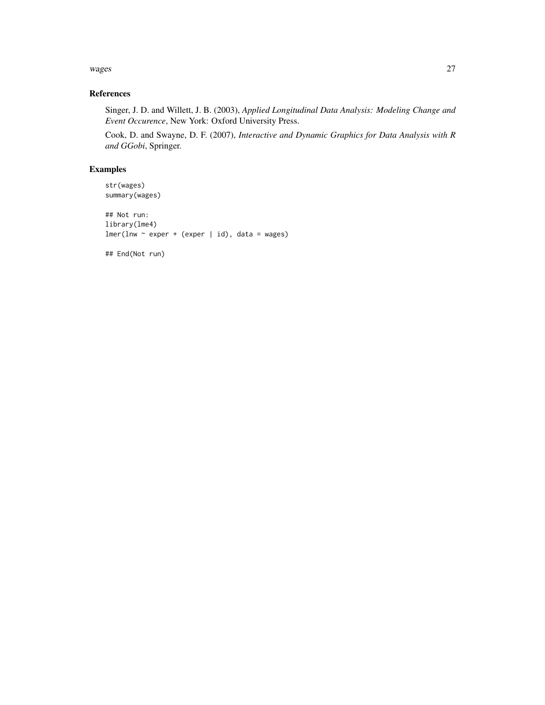#### wages 27 and 2012 and 2013 and 2014 and 2014 and 2014 and 2014 and 2014 and 2014 and 2014 and 2014 and 2014 and 2014 and 2014 and 2014 and 2014 and 2014 and 2014 and 2014 and 2014 and 2014 and 2014 and 2014 and 2014 and 20

## References

Singer, J. D. and Willett, J. B. (2003), *Applied Longitudinal Data Analysis: Modeling Change and Event Occurence*, New York: Oxford University Press.

Cook, D. and Swayne, D. F. (2007), *Interactive and Dynamic Graphics for Data Analysis with R and GGobi*, Springer.

## Examples

str(wages) summary(wages)

## Not run: library(lme4)  $lmer(lnw \sim expert + (expert \mid id), data = wages)$ 

## End(Not run)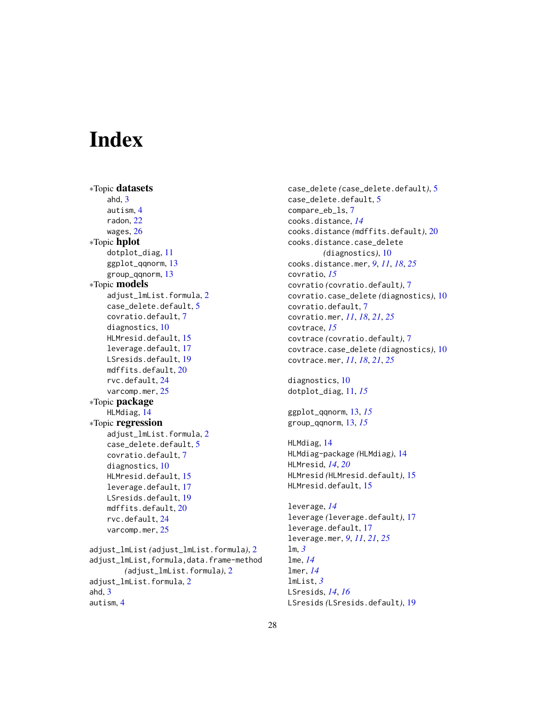# <span id="page-27-0"></span>**Index**

∗Topic datasets ahd, [3](#page-2-0) autism, [4](#page-3-0) radon, [22](#page-21-0) wages, [26](#page-25-0) ∗Topic hplot dotplot\_diag, [11](#page-10-0) ggplot\_qqnorm, [13](#page-12-0) group\_qqnorm, [13](#page-12-0) ∗Topic models adjust\_lmList.formula, [2](#page-1-0) case\_delete.default, [5](#page-4-0) covratio.default, [7](#page-6-0) diagnostics, [10](#page-9-0) HLMresid.default, [15](#page-14-0) leverage.default, [17](#page-16-0) LSresids.default, [19](#page-18-0) mdffits.default, [20](#page-19-0) rvc.default, [24](#page-23-0) varcomp.mer, [25](#page-24-0) ∗Topic package HLMdiag, [14](#page-13-0) ∗Topic regression adjust\_lmList.formula, [2](#page-1-0) case\_delete.default, [5](#page-4-0) covratio.default, [7](#page-6-0) diagnostics, [10](#page-9-0) HLMresid.default, [15](#page-14-0) leverage.default, [17](#page-16-0) LSresids.default, [19](#page-18-0) mdffits.default, [20](#page-19-0) rvc.default, [24](#page-23-0) varcomp.mer, [25](#page-24-0) adjust\_lmList *(*adjust\_lmList.formula*)*, [2](#page-1-0) adjust\_lmList,formula,data.frame-method *(*adjust\_lmList.formula*)*, [2](#page-1-0) adjust\_lmList.formula, [2](#page-1-0) ahd, [3](#page-2-0) autism, [4](#page-3-0)

case\_delete *(*case\_delete.default*)*, [5](#page-4-0) case\_delete.default, [5](#page-4-0) compare\_eb\_ls, [7](#page-6-0) cooks.distance, *[14](#page-13-0)* cooks.distance *(*mdffits.default*)*, [20](#page-19-0) cooks.distance.case\_delete *(*diagnostics*)*, [10](#page-9-0) cooks.distance.mer, *[9](#page-8-0)*, *[11](#page-10-0)*, *[18](#page-17-0)*, *[25](#page-24-0)* covratio, *[15](#page-14-0)* covratio *(*covratio.default*)*, [7](#page-6-0) covratio.case\_delete *(*diagnostics*)*, [10](#page-9-0) covratio.default, [7](#page-6-0) covratio.mer, *[11](#page-10-0)*, *[18](#page-17-0)*, *[21](#page-20-0)*, *[25](#page-24-0)* covtrace, *[15](#page-14-0)* covtrace *(*covratio.default*)*, [7](#page-6-0) covtrace.case\_delete *(*diagnostics*)*, [10](#page-9-0) covtrace.mer, *[11](#page-10-0)*, *[18](#page-17-0)*, *[21](#page-20-0)*, *[25](#page-24-0)* diagnostics, [10](#page-9-0) dotplot\_diag, [11,](#page-10-0) *[15](#page-14-0)*

ggplot\_qqnorm, [13,](#page-12-0) *[15](#page-14-0)* group\_qqnorm, [13,](#page-12-0) *[15](#page-14-0)*

HLMdiag, [14](#page-13-0) HLMdiag-package *(*HLMdiag*)*, [14](#page-13-0) HLMresid, *[14](#page-13-0)*, *[20](#page-19-0)* HLMresid *(*HLMresid.default*)*, [15](#page-14-0) HLMresid.default, [15](#page-14-0)

leverage, *[14](#page-13-0)* leverage *(*leverage.default*)*, [17](#page-16-0) leverage.default, [17](#page-16-0) leverage.mer, *[9](#page-8-0)*, *[11](#page-10-0)*, *[21](#page-20-0)*, *[25](#page-24-0)* lm, *[3](#page-2-0)* lme, *[14](#page-13-0)* lmer, *[14](#page-13-0)* lmList, *[3](#page-2-0)* LSresids, *[14](#page-13-0)*, *[16](#page-15-0)* LSresids *(*LSresids.default*)*, [19](#page-18-0)